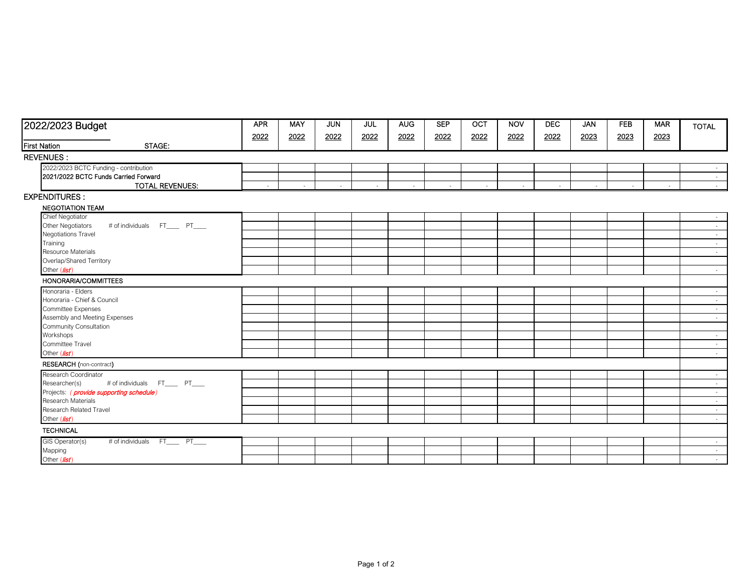| 2022/2023 Budget                                     | <b>APR</b> | <b>MAY</b> | <b>JUN</b> | JUL    | <b>AUG</b> | <b>SEP</b> | OCT    | <b>NOV</b> | <b>DEC</b> | <b>JAN</b> | <b>FEB</b> | <b>MAR</b> | <b>TOTAL</b> |
|------------------------------------------------------|------------|------------|------------|--------|------------|------------|--------|------------|------------|------------|------------|------------|--------------|
|                                                      | 2022       | 2022       | 2022       | 2022   | 2022       | 2022       | 2022   | 2022       | 2022       | 2023       | 2023       | 2023       |              |
| STAGE:<br><b>First Nation</b>                        |            |            |            |        |            |            |        |            |            |            |            |            |              |
| REVENUES :                                           |            |            |            |        |            |            |        |            |            |            |            |            |              |
| 2022/2023 BCTC Funding - contribution                |            |            |            |        |            |            |        |            |            |            |            |            |              |
| 2021/2022 BCTC Funds Carried Forward                 |            |            |            |        |            |            |        |            |            |            |            |            | $\sim$       |
| <b>TOTAL REVENUES:</b>                               | $\sim$     | $\sim$     | $\sim$     | $\sim$ | $\sim$     | $\sim$     | $\sim$ | $\sim$     | $\sim$     | $\sim$     | $\sim$     | $\sim$     | $\sim$       |
| <b>EXPENDITURES:</b>                                 |            |            |            |        |            |            |        |            |            |            |            |            |              |
| <b>NEGOTIATION TEAM</b>                              |            |            |            |        |            |            |        |            |            |            |            |            |              |
| Chief Negotiator                                     |            |            |            |        |            |            |        |            |            |            |            |            | $\sim$       |
| Other Negotiators<br># of individuals FT_____ PT____ |            |            |            |        |            |            |        |            |            |            |            |            | $\sim$       |
| Negotiations Travel                                  |            |            |            |        |            |            |        |            |            |            |            |            | $\sim$       |
| Training                                             |            |            |            |        |            |            |        |            |            |            |            |            | $\sim$       |
| Resource Materials                                   |            |            |            |        |            |            |        |            |            |            |            |            | $\sim$       |
| Overlap/Shared Territory                             |            |            |            |        |            |            |        |            |            |            |            |            |              |
| Other (list)                                         |            |            |            |        |            |            |        |            |            |            |            |            | $\sim$       |
| HONORARIA/COMMITTEES                                 |            |            |            |        |            |            |        |            |            |            |            |            |              |
| Honoraria - Elders                                   |            |            |            |        |            |            |        |            |            |            |            |            | $\sim$       |
| Honoraria - Chief & Council                          |            |            |            |        |            |            |        |            |            |            |            |            | $\sim$       |
| Committee Expenses                                   |            |            |            |        |            |            |        |            |            |            |            |            | $\sim$       |
| Assembly and Meeting Expenses                        |            |            |            |        |            |            |        |            |            |            |            |            | $\sim$       |
| Community Consultation                               |            |            |            |        |            |            |        |            |            |            |            |            |              |
| Workshops                                            |            |            |            |        |            |            |        |            |            |            |            |            | $\sim$       |
| Committee Travel                                     |            |            |            |        |            |            |        |            |            |            |            |            | $\sim$       |
| Other (list)                                         |            |            |            |        |            |            |        |            |            |            |            |            | $\sim$       |
| RESEARCH (non-contract)                              |            |            |            |        |            |            |        |            |            |            |            |            |              |
| Research Coordinator                                 |            |            |            |        |            |            |        |            |            |            |            |            | $\sim$       |
| # of individuals FT____ PT___<br>Researcher(s)       |            |            |            |        |            |            |        |            |            |            |            |            | $\sim$       |
| Projects: (provide supporting schedule)              |            |            |            |        |            |            |        |            |            |            |            |            | $\sim$       |
| Research Materials                                   |            |            |            |        |            |            |        |            |            |            |            |            | $\sim$       |
| Research Related Travel                              |            |            |            |        |            |            |        |            |            |            |            |            | $\sim$       |
| Other (list)                                         |            |            |            |        |            |            |        |            |            |            |            |            | $\sim$       |
| <b>TECHNICAL</b>                                     |            |            |            |        |            |            |        |            |            |            |            |            |              |
| # of individuals FT____ PT___<br>GIS Operator(s)     |            |            |            |        |            |            |        |            |            |            |            |            | $\sim$       |
| Mapping                                              |            |            |            |        |            |            |        |            |            |            |            |            | $\sim$       |
| Other (list)                                         |            |            |            |        |            |            |        |            |            |            |            |            | $\sim$       |